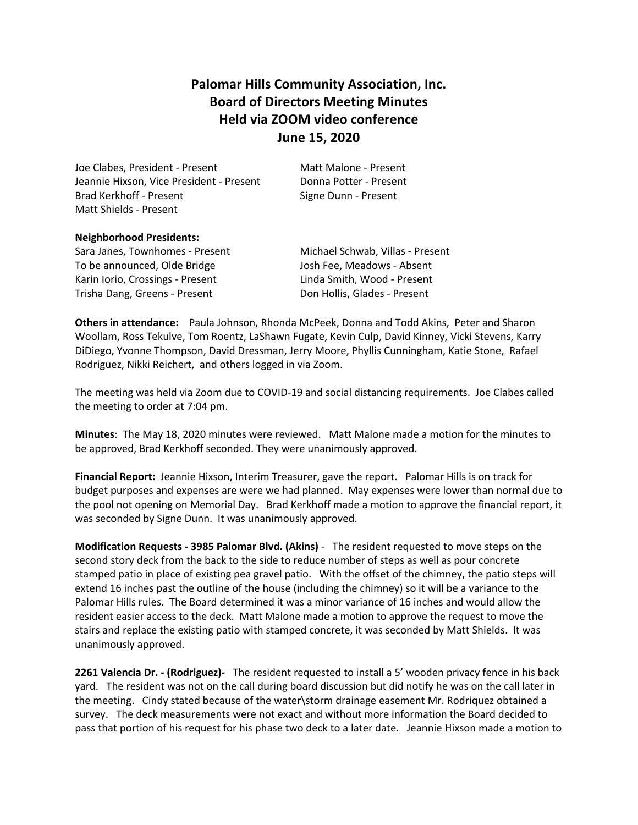# **Palomar Hills Community Association, Inc. Board of Directors Meeting Minutes Held via ZOOM video conference June 15, 2020**

Joe Clabes, President - Present Matt Malone - Present Jeannie Hixson, Vice President - Present Donna Potter - Present Brad Kerkhoff - Present Signe Dunn - Present Matt Shields - Present

# **Neighborhood Presidents:**

Sara Janes, Townhomes - Present Michael Schwab, Villas - Present To be announced, Olde Bridge The Subsett Josh Fee, Meadows - Absent Karin Iorio, Crossings - Present Linda Smith, Wood - Present Trisha Dang, Greens - Present Don Hollis, Glades - Present

**Others in attendance:** Paula Johnson, Rhonda McPeek, Donna and Todd Akins, Peter and Sharon Woollam, Ross Tekulve, Tom Roentz, LaShawn Fugate, Kevin Culp, David Kinney, Vicki Stevens, Karry DiDiego, Yvonne Thompson, David Dressman, Jerry Moore, Phyllis Cunningham, Katie Stone, Rafael Rodriguez, Nikki Reichert, and others logged in via Zoom.

The meeting was held via Zoom due to COVID-19 and social distancing requirements. Joe Clabes called the meeting to order at 7:04 pm.

**Minutes**: The May 18, 2020 minutes were reviewed. Matt Malone made a motion for the minutes to be approved, Brad Kerkhoff seconded. They were unanimously approved.

**Financial Report:** Jeannie Hixson, Interim Treasurer, gave the report. Palomar Hills is on track for budget purposes and expenses are were we had planned. May expenses were lower than normal due to the pool not opening on Memorial Day. Brad Kerkhoff made a motion to approve the financial report, it was seconded by Signe Dunn. It was unanimously approved.

**Modification Requests - 3985 Palomar Blvd. (Akins)** - The resident requested to move steps on the second story deck from the back to the side to reduce number of steps as well as pour concrete stamped patio in place of existing pea gravel patio. With the offset of the chimney, the patio steps will extend 16 inches past the outline of the house (including the chimney) so it will be a variance to the Palomar Hills rules. The Board determined it was a minor variance of 16 inches and would allow the resident easier access to the deck. Matt Malone made a motion to approve the request to move the stairs and replace the existing patio with stamped concrete, it was seconded by Matt Shields. It was unanimously approved.

**2261 Valencia Dr. - (Rodriguez)-** The resident requested to install a 5' wooden privacy fence in his back yard. The resident was not on the call during board discussion but did notify he was on the call later in the meeting. Cindy stated because of the water\storm drainage easement Mr. Rodriquez obtained a survey. The deck measurements were not exact and without more information the Board decided to pass that portion of his request for his phase two deck to a later date. Jeannie Hixson made a motion to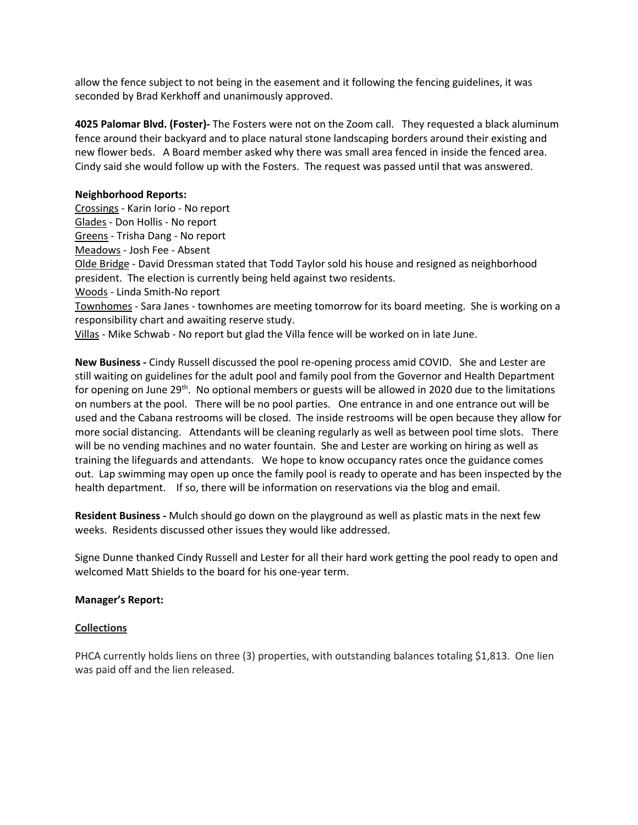allow the fence subject to not being in the easement and it following the fencing guidelines, it was seconded by Brad Kerkhoff and unanimously approved.

**4025 Palomar Blvd. (Foster)-** The Fosters were not on the Zoom call. They requested a black aluminum fence around their backyard and to place natural stone landscaping borders around their existing and new flower beds. A Board member asked why there was small area fenced in inside the fenced area. Cindy said she would follow up with the Fosters. The request was passed until that was answered.

# **Neighborhood Reports:**

Crossings - Karin Iorio - No report Glades - Don Hollis - No report Greens - Trisha Dang - No report Meadows - Josh Fee - Absent Olde Bridge - David Dressman stated that Todd Taylor sold his house and resigned as neighborhood president. The election is currently being held against two residents. Woods - Linda Smith-No report Townhomes - Sara Janes - townhomes are meeting tomorrow for its board meeting. She is working on a responsibility chart and awaiting reserve study.

Villas - Mike Schwab - No report but glad the Villa fence will be worked on in late June.

**New Business -** Cindy Russell discussed the pool re-opening process amid COVID. She and Lester are still waiting on guidelines for the adult pool and family pool from the Governor and Health Department for opening on June  $29<sup>th</sup>$ . No optional members or guests will be allowed in 2020 due to the limitations on numbers at the pool. There will be no pool parties. One entrance in and one entrance out will be used and the Cabana restrooms will be closed. The inside restrooms will be open because they allow for more social distancing. Attendants will be cleaning regularly as well as between pool time slots. There will be no vending machines and no water fountain. She and Lester are working on hiring as well as training the lifeguards and attendants. We hope to know occupancy rates once the guidance comes out. Lap swimming may open up once the family pool is ready to operate and has been inspected by the health department. If so, there will be information on reservations via the blog and email.

**Resident Business -** Mulch should go down on the playground as well as plastic mats in the next few weeks. Residents discussed other issues they would like addressed.

Signe Dunne thanked Cindy Russell and Lester for all their hard work getting the pool ready to open and welcomed Matt Shields to the board for his one-year term.

#### **Manager's Report:**

#### **Collections**

PHCA currently holds liens on three (3) properties, with outstanding balances totaling \$1,813. One lien was paid off and the lien released.